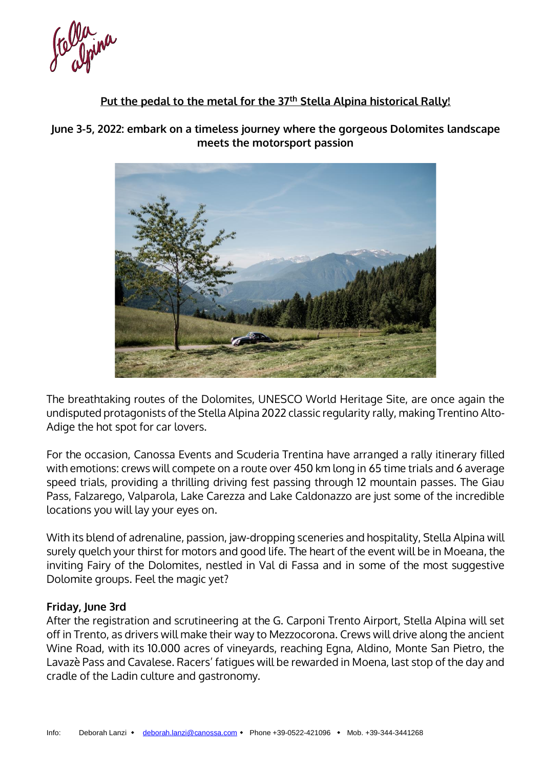Ce Opina

# **Put the pedal to the metal for the 37th Stella Alpina historical Rally!**

**June 3-5, 2022: embark on a timeless journey where the gorgeous Dolomites landscape meets the motorsport passion**



The breathtaking routes of the Dolomites, UNESCO World Heritage Site, are once again the undisputed protagonists of the Stella Alpina 2022 classic regularity rally, making Trentino Alto-Adige the hot spot for car lovers.

For the occasion, Canossa Events and Scuderia Trentina have arranged a rally itinerary filled with emotions: crews will compete on a route over 450 km long in 65 time trials and 6 average speed trials, providing a thrilling driving fest passing through 12 mountain passes. The Giau Pass, Falzarego, Valparola, Lake Carezza and Lake Caldonazzo are just some of the incredible locations you will lay your eyes on.

With its blend of adrenaline, passion, jaw-dropping sceneries and hospitality, Stella Alpina will surely quelch your thirst for motors and good life. The heart of the event will be in Moeana, the inviting Fairy of the Dolomites, nestled in Val di Fassa and in some of the most suggestive Dolomite groups. Feel the magic yet?

#### **Friday, June 3rd**

After the registration and scrutineering at the G. Carponi Trento Airport, Stella Alpina will set off in Trento, as drivers will make their way to Mezzocorona. Crews will drive along the ancient Wine Road, with its 10.000 acres of vineyards, reaching Egna, Aldino, Monte San Pietro, the Lavazè Pass and Cavalese. Racers' fatigues will be rewarded in Moena, last stop of the day and cradle of the Ladin culture and gastronomy.